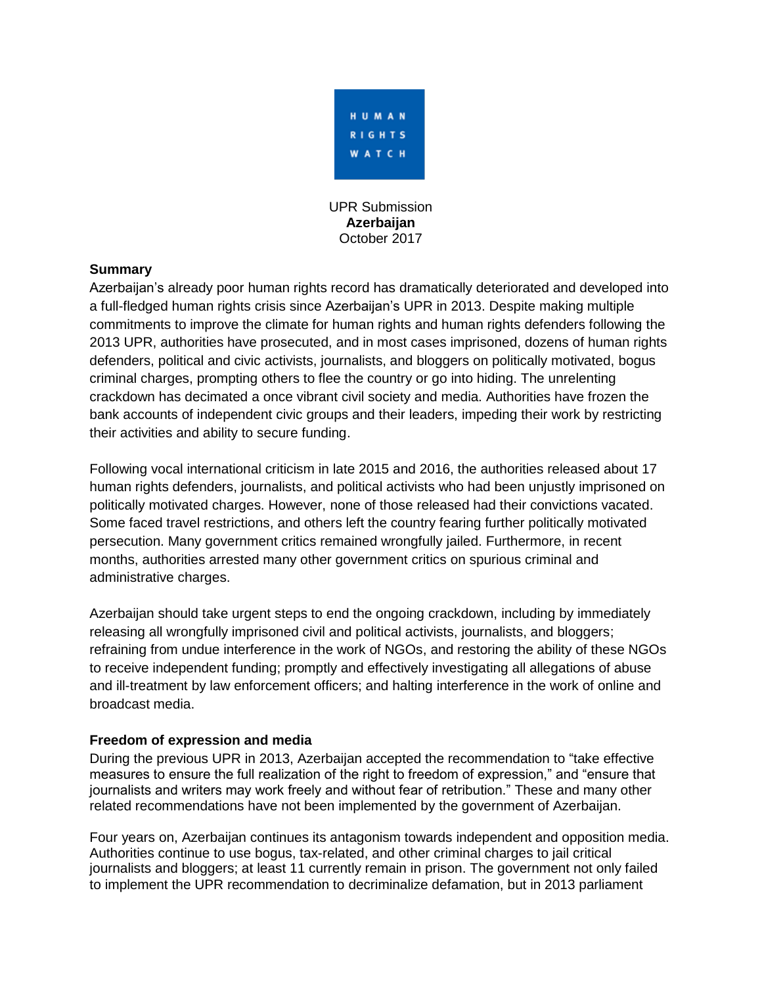

UPR Submission **Azerbaijan** October 2017

### **Summary**

Azerbaijan's already poor human rights record has dramatically deteriorated and developed into a full-fledged human rights crisis since Azerbaijan's UPR in 2013. Despite making multiple commitments to improve the climate for human rights and human rights defenders following the 2013 UPR, authorities have prosecuted, and in most cases imprisoned, dozens of human rights defenders, political and civic activists, journalists, and bloggers on politically motivated, bogus criminal charges, prompting others to flee the country or go into hiding. The unrelenting crackdown has decimated a once vibrant civil society and media. Authorities have frozen the bank accounts of independent civic groups and their leaders, impeding their work by restricting their activities and ability to secure funding.

Following vocal international criticism in late 2015 and 2016, the authorities released about 17 human rights defenders, journalists, and political activists who had been unjustly imprisoned on politically motivated charges. However, none of those released had their convictions vacated. Some faced travel restrictions, and others left the country fearing further politically motivated persecution. Many government critics remained wrongfully jailed. Furthermore, in recent months, authorities arrested many other government critics on spurious criminal and administrative charges.

Azerbaijan should take urgent steps to end the ongoing crackdown, including by immediately releasing all wrongfully imprisoned civil and political activists, journalists, and bloggers; refraining from undue interference in the work of NGOs, and restoring the ability of these NGOs to receive independent funding; promptly and effectively investigating all allegations of abuse and ill-treatment by law enforcement officers; and halting interference in the work of online and broadcast media.

#### **Freedom of expression and media**

During the previous UPR in 2013, Azerbaijan accepted the recommendation to "take effective measures to ensure the full realization of the right to freedom of expression," and "ensure that journalists and writers may work freely and without fear of retribution." These and many other related recommendations have not been implemented by the government of Azerbaijan.

Four years on, Azerbaijan continues its antagonism towards independent and opposition media. Authorities continue to use bogus, tax-related, and other criminal charges to jail critical journalists and bloggers; at least 11 currently remain in prison. The government not only failed to implement the UPR recommendation to decriminalize defamation, but in 2013 parliament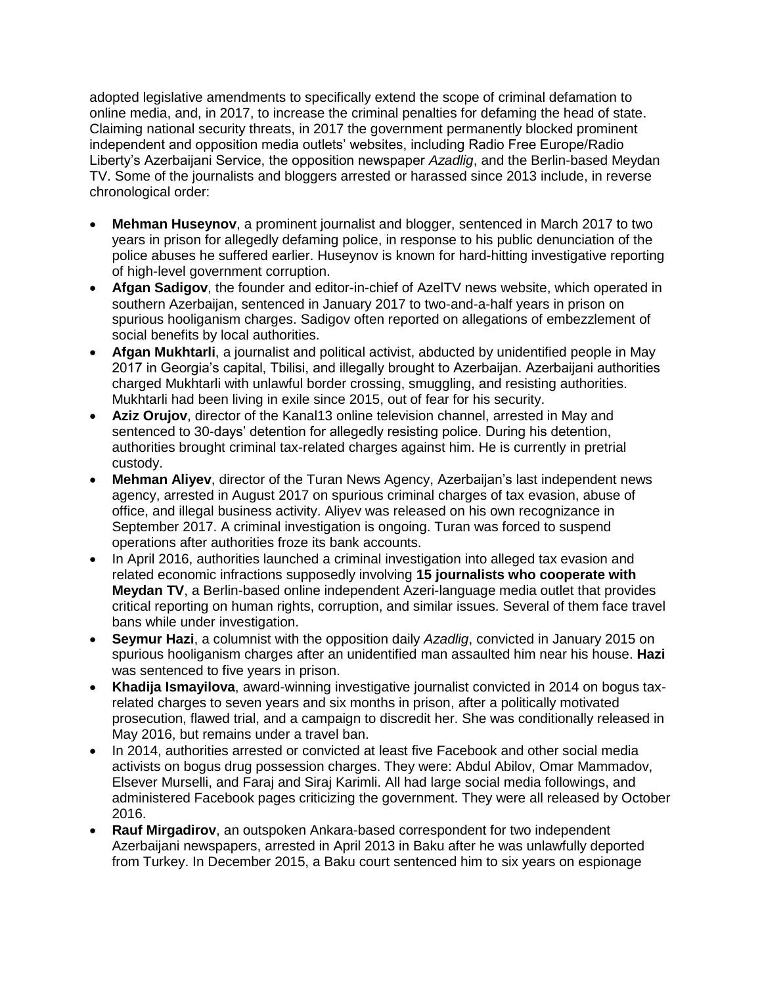adopted legislative amendments to specifically extend the scope of criminal defamation to online media, and, in 2017, to increase the criminal penalties for defaming the head of state. Claiming national security threats, in 2017 the government permanently blocked prominent independent and opposition media outlets' websites, including Radio Free Europe/Radio Liberty's Azerbaijani Service, the opposition newspaper *Azadlig*, and the Berlin-based Meydan TV. Some of the journalists and bloggers arrested or harassed since 2013 include, in reverse chronological order:

- **Mehman Huseynov**, a prominent journalist and blogger, sentenced in March 2017 to two years in prison for allegedly defaming police, in response to his public denunciation of the police abuses he suffered earlier. Huseynov is known for hard-hitting investigative reporting of high-level government corruption.
- **Afgan Sadigov**, the founder and editor-in-chief of AzelTV news website, which operated in southern Azerbaijan, sentenced in January 2017 to two-and-a-half years in prison on spurious hooliganism charges. Sadigov often reported on allegations of embezzlement of social benefits by local authorities.
- **Afgan Mukhtarli**, a journalist and political activist, abducted by unidentified people in May 2017 in Georgia's capital, Tbilisi, and illegally brought to Azerbaijan. Azerbaijani authorities charged Mukhtarli with unlawful border crossing, smuggling, and resisting authorities. Mukhtarli had been living in exile since 2015, out of fear for his security.
- **Aziz Orujov**, director of the Kanal13 online television channel, arrested in May and sentenced to 30-days' detention for allegedly resisting police. During his detention, authorities brought criminal tax-related charges against him. He is currently in pretrial custody.
- **Mehman Aliyev**, director of the Turan News Agency, Azerbaijan's last independent news agency, arrested in August 2017 on spurious criminal charges of tax evasion, abuse of office, and illegal business activity. Aliyev was released on his own recognizance in September 2017. A criminal investigation is ongoing. Turan was forced to suspend operations after authorities froze its bank accounts.
- In April 2016, authorities launched a criminal investigation into alleged tax evasion and related economic infractions supposedly involving **15 journalists who cooperate with Meydan TV**, a Berlin-based online independent Azeri-language media outlet that provides critical reporting on human rights, corruption, and similar issues. Several of them face travel bans while under investigation.
- **Seymur Hazi**, a columnist with the opposition daily *Azadlig*, convicted in January 2015 on spurious hooliganism charges after an unidentified man assaulted him near his house. **Hazi** was sentenced to five years in prison.
- **Khadija Ismayilova**, award-winning investigative journalist convicted in 2014 on bogus taxrelated charges to seven years and six months in prison, after a politically motivated prosecution, flawed trial, and a campaign to discredit her. She was conditionally released in May 2016, but remains under a travel ban.
- In 2014, authorities arrested or convicted at least five Facebook and other social media activists on bogus drug possession charges. They were: Abdul Abilov, Omar Mammadov, Elsever Murselli, and Faraj and Siraj Karimli. All had large social media followings, and administered Facebook pages criticizing the government. They were all released by October 2016.
- **Rauf Mirgadirov**, an outspoken Ankara-based correspondent for two independent Azerbaijani newspapers, arrested in April 2013 in Baku after he was unlawfully deported from Turkey. In December 2015, a Baku court sentenced him to six years on espionage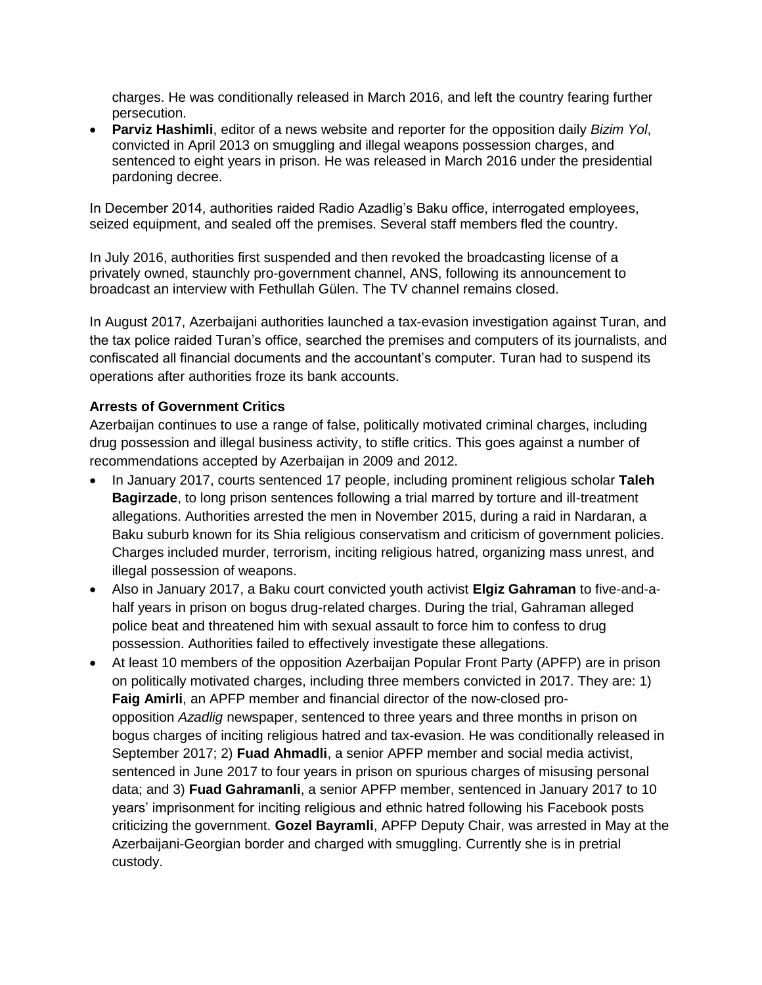charges. He was conditionally released in March 2016, and left the country fearing further persecution.

 **Parviz Hashimli**, editor of a news website and reporter for the opposition daily *Bizim Yol*, convicted in April 2013 on smuggling and illegal weapons possession charges, and sentenced to eight years in prison. He was released in March 2016 under the presidential pardoning decree.

In December 2014, authorities raided Radio Azadlig's Baku office, interrogated employees, seized equipment, and sealed off the premises. Several staff members fled the country.

In July 2016, authorities first suspended and then revoked the broadcasting license of a privately owned, staunchly pro-government channel, ANS, following its announcement to broadcast an interview with Fethullah Gülen. The TV channel remains closed.

In August 2017, Azerbaijani authorities launched a tax-evasion investigation against Turan, and the tax police raided Turan's office, searched the premises and computers of its journalists, and confiscated all financial documents and the accountant's computer. Turan had to suspend its operations after authorities froze its bank accounts.

### **Arrests of Government Critics**

Azerbaijan continues to use a range of false, politically motivated criminal charges, including drug possession and illegal business activity, to stifle critics. This goes against a number of recommendations accepted by Azerbaijan in 2009 and 2012.

- In January 2017, courts sentenced 17 people, including prominent religious scholar **Taleh Bagirzade**, to long prison sentences following a trial marred by torture and ill-treatment allegations. Authorities arrested the men in November 2015, during a raid in Nardaran, a Baku suburb known for its Shia religious conservatism and criticism of government policies. Charges included murder, terrorism, inciting religious hatred, organizing mass unrest, and illegal possession of weapons.
- Also in January 2017, a Baku court convicted youth activist **Elgiz Gahraman** to five-and-ahalf years in prison on bogus drug-related charges. During the trial, Gahraman alleged police beat and threatened him with sexual assault to force him to confess to drug possession. Authorities failed to effectively investigate these allegations.
- At least 10 members of the opposition Azerbaijan Popular Front Party (APFP) are in prison on politically motivated charges, including three members convicted in 2017. They are: 1) **Faig Amirli**, an APFP member and financial director of the now-closed proopposition *Azadlig* newspaper, sentenced to three years and three months in prison on bogus charges of inciting religious hatred and tax-evasion. He was conditionally released in September 2017; 2) **Fuad Ahmadli**, a senior APFP member and social media activist, sentenced in June 2017 to four years in prison on spurious charges of misusing personal data; and 3) **Fuad Gahramanli**, a senior APFP member, sentenced in January 2017 to 10 years' imprisonment for inciting religious and ethnic hatred following his Facebook posts criticizing the government. **Gozel Bayramli**, APFP Deputy Chair, was arrested in May at the Azerbaijani-Georgian border and charged with smuggling. Currently she is in pretrial custody.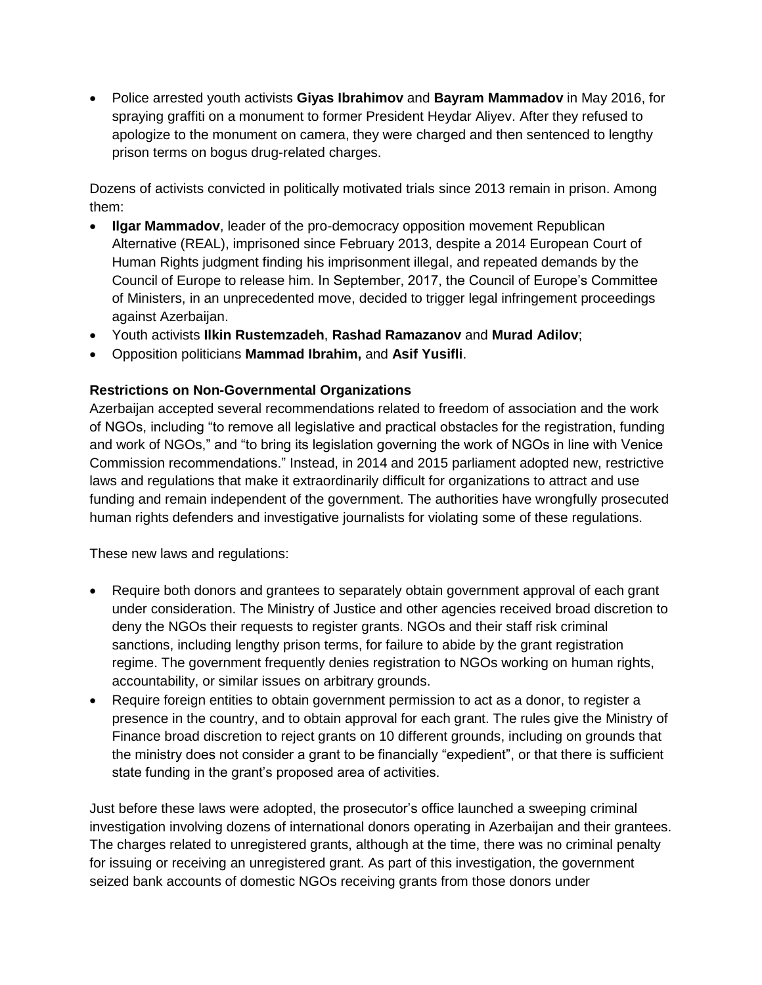Police arrested youth activists **Giyas Ibrahimov** and **Bayram Mammadov** in May 2016, for spraying graffiti on a monument to former President Heydar Aliyev. After they refused to apologize to the monument on camera, they were charged and then sentenced to lengthy prison terms on bogus drug-related charges.

Dozens of activists convicted in politically motivated trials since 2013 remain in prison. Among them:

- **Ilgar Mammadov**, leader of the pro-democracy opposition movement Republican Alternative (REAL), imprisoned since February 2013, despite a 2014 European Court of Human Rights judgment finding his imprisonment illegal, and repeated demands by the Council of Europe to release him. In September, 2017, the Council of Europe's Committee of Ministers, in an unprecedented move, decided to trigger legal infringement proceedings against Azerbaijan.
- Youth activists **Ilkin Rustemzadeh**, **Rashad Ramazanov** and **Murad Adilov**;
- Opposition politicians **Mammad Ibrahim,** and **Asif Yusifli**.

## **Restrictions on Non-Governmental Organizations**

Azerbaijan accepted several recommendations related to freedom of association and the work of NGOs, including "to remove all legislative and practical obstacles for the registration, funding and work of NGOs," and "to bring its legislation governing the work of NGOs in line with Venice Commission recommendations." Instead, in 2014 and 2015 parliament adopted new, restrictive laws and regulations that make it extraordinarily difficult for organizations to attract and use funding and remain independent of the government. The authorities have wrongfully prosecuted human rights defenders and investigative journalists for violating some of these regulations.

These new laws and regulations:

- Require both donors and grantees to separately obtain government approval of each grant under consideration. The Ministry of Justice and other agencies received broad discretion to deny the NGOs their requests to register grants. NGOs and their staff risk criminal sanctions, including lengthy prison terms, for failure to abide by the grant registration regime. The government frequently denies registration to NGOs working on human rights, accountability, or similar issues on arbitrary grounds.
- Require foreign entities to obtain government permission to act as a donor, to register a presence in the country, and to obtain approval for each grant. The rules give the Ministry of Finance broad discretion to reject grants on 10 different grounds, including on grounds that the ministry does not consider a grant to be financially "expedient", or that there is sufficient state funding in the grant's proposed area of activities.

Just before these laws were adopted, the prosecutor's office launched a sweeping criminal investigation involving dozens of international donors operating in Azerbaijan and their grantees. The charges related to unregistered grants, although at the time, there was no criminal penalty for issuing or receiving an unregistered grant. As part of this investigation, the government seized bank accounts of domestic NGOs receiving grants from those donors under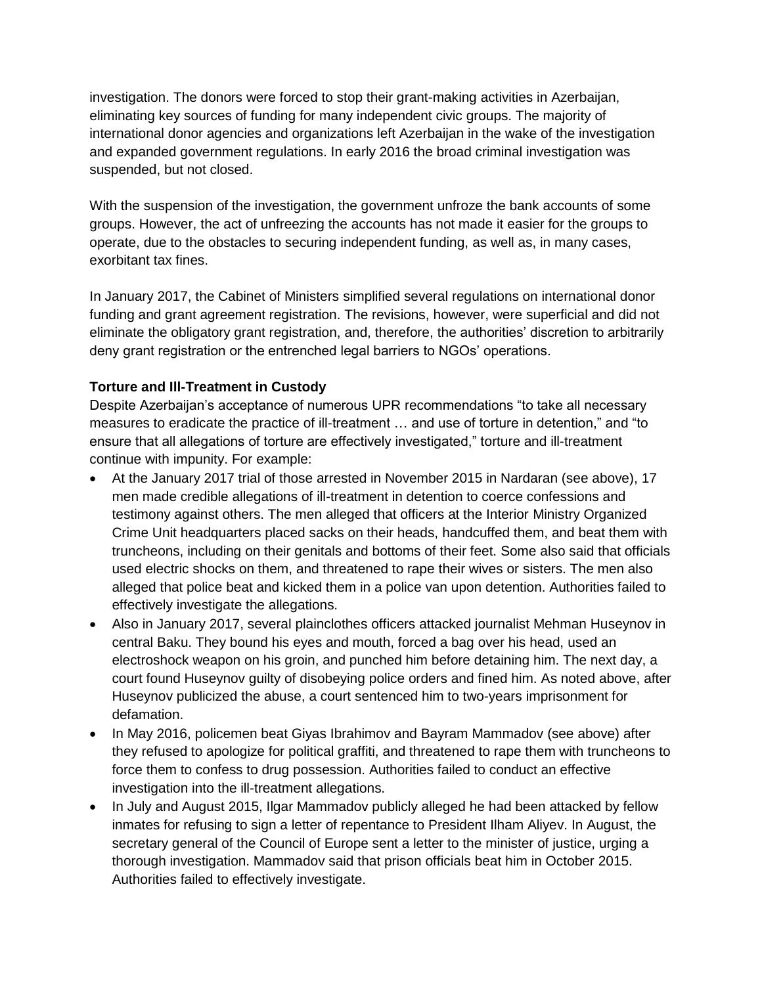investigation. The donors were forced to stop their grant-making activities in Azerbaijan, eliminating key sources of funding for many independent civic groups. The majority of international donor agencies and organizations left Azerbaijan in the wake of the investigation and expanded government regulations. In early 2016 the broad criminal investigation was suspended, but not closed.

With the suspension of the investigation, the government unfroze the bank accounts of some groups. However, the act of unfreezing the accounts has not made it easier for the groups to operate, due to the obstacles to securing independent funding, as well as, in many cases, exorbitant tax fines.

In January 2017, the Cabinet of Ministers simplified several regulations on international donor funding and grant agreement registration. The revisions, however, were superficial and did not eliminate the obligatory grant registration, and, therefore, the authorities' discretion to arbitrarily deny grant registration or the entrenched legal barriers to NGOs' operations.

## **Torture and Ill-Treatment in Custody**

Despite Azerbaijan's acceptance of numerous UPR recommendations "to take all necessary measures to eradicate the practice of ill-treatment … and use of torture in detention," and "to ensure that all allegations of torture are effectively investigated," torture and ill-treatment continue with impunity. For example:

- At the January 2017 trial of those arrested in November 2015 in Nardaran (see above), 17 men made credible allegations of ill-treatment in detention to coerce confessions and testimony against others. The men alleged that officers at the Interior Ministry Organized Crime Unit headquarters placed sacks on their heads, handcuffed them, and beat them with truncheons, including on their genitals and bottoms of their feet. Some also said that officials used electric shocks on them, and threatened to rape their wives or sisters. The men also alleged that police beat and kicked them in a police van upon detention. Authorities failed to effectively investigate the allegations.
- Also in January 2017, several plainclothes officers attacked journalist Mehman Huseynov in central Baku. They bound his eyes and mouth, forced a bag over his head, used an electroshock weapon on his groin, and punched him before detaining him. The next day, a court found Huseynov guilty of disobeying police orders and fined him. As noted above, after Huseynov publicized the abuse, a court sentenced him to two-years imprisonment for defamation.
- In May 2016, policemen beat Giyas Ibrahimov and Bayram Mammadov (see above) after they refused to apologize for political graffiti, and threatened to rape them with truncheons to force them to confess to drug possession. Authorities failed to conduct an effective investigation into the ill-treatment allegations.
- In July and August 2015, Ilgar Mammadov publicly alleged he had been attacked by fellow inmates for refusing to sign a letter of repentance to President Ilham Aliyev. In August, the secretary general of the Council of Europe sent a letter to the minister of justice, urging a thorough investigation. Mammadov said that prison officials beat him in October 2015. Authorities failed to effectively investigate.